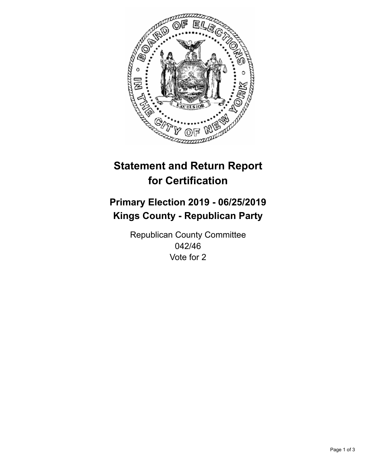

## **Statement and Return Report for Certification**

## **Primary Election 2019 - 06/25/2019 Kings County - Republican Party**

Republican County Committee 042/46 Vote for 2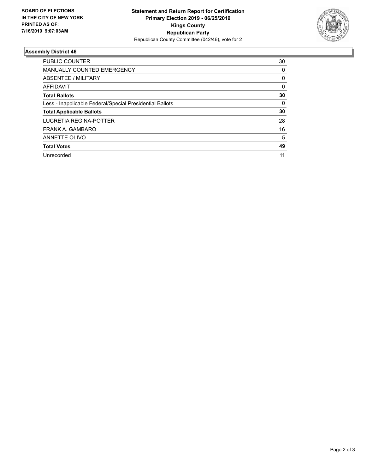

## **Assembly District 46**

| <b>PUBLIC COUNTER</b>                                    | 30 |
|----------------------------------------------------------|----|
| MANUALLY COUNTED EMERGENCY                               | 0  |
| ABSENTEE / MILITARY                                      | 0  |
| AFFIDAVIT                                                | 0  |
| <b>Total Ballots</b>                                     | 30 |
| Less - Inapplicable Federal/Special Presidential Ballots | 0  |
| <b>Total Applicable Ballots</b>                          | 30 |
| LUCRETIA REGINA-POTTER                                   | 28 |
| FRANK A. GAMBARO                                         | 16 |
| ANNETTE OLIVO                                            | 5  |
| <b>Total Votes</b>                                       | 49 |
| Unrecorded                                               | 11 |